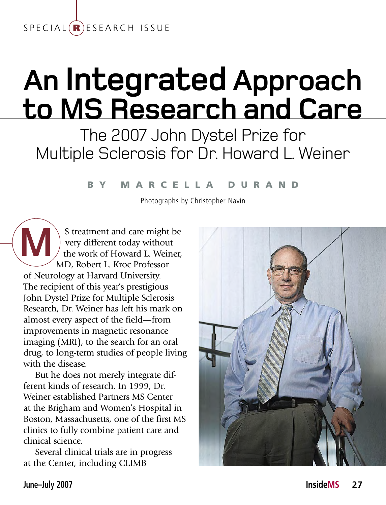### $S$  P E C I A L  $(R)$  E S E A R C H ISSUE

# **An Integrated Approach to MS Research and Care**

The 2007 John Dystel Prize for Multiple Sclerosis for Dr. Howard L. Weiner

#### b y M a r c e l l a D u r a n d

photographs by Christopher Navin

S treatment and care might be very different today without the work of Howard L. Weiner, MD, Robert L. Kroc Professor of Neurology at Harvard University. The recipient of this year's prestigious John Dystel Prize for Multiple Sclerosis Research, Dr. Weiner has left his mark on almost every aspect of the field—from improvements in magnetic resonance imaging (MRI), to the search for an oral drug, to long-term studies of people living with the disease. **M**

But he does not merely integrate different kinds of research. In 1999, Dr. Weiner established Partners MS Center at the Brigham and Women's Hospital in Boston, Massachusetts, one of the first MS clinics to fully combine patient care and clinical science.

Several clinical trials are in progress at the Center, including CLIMB

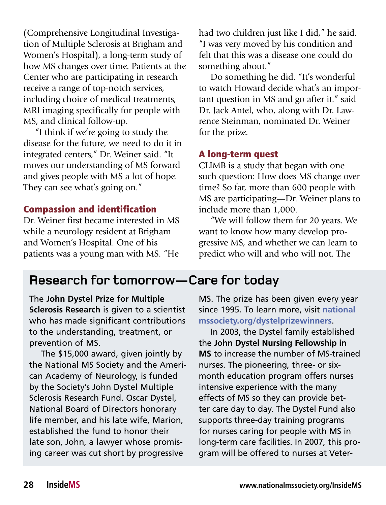(Comprehensive Longitudinal Investigation of Multiple Sclerosis at Brigham and Women's Hospital), a long-term study of how MS changes over time. Patients at the Center who are participating in research receive a range of top-notch services, including choice of medical treatments, MRI imaging specifically for people with MS, and clinical follow-up.

"I think if we're going to study the disease for the future, we need to do it in integrated centers," Dr. Weiner said. "It moves our understanding of MS forward and gives people with MS a lot of hope. They can see what's going on."

#### Compassion and identification

Dr. Weiner first became interested in MS while a neurology resident at Brigham and Women's Hospital. One of his patients was a young man with MS. "He

had two children just like I did," he said. "I was very moved by his condition and felt that this was a disease one could do something about."

Do something he did. "It's wonderful to watch Howard decide what's an important question in MS and go after it." said Dr. Jack Antel, who, along with Dr. Lawrence Steinman, nominated Dr. Weiner for the prize.

#### A long-term quest

CLIMB is a study that began with one such question: How does MS change over time? So far, more than 600 people with MS are participating—Dr. Weiner plans to include more than 1,000.

"We will follow them for 20 years. We want to know how many develop progressive MS, and whether we can learn to predict who will and who will not. The

## **Research for tomorrow—Care for today**

The **John Dystel Prize for Multiple Sclerosis Research** is given to a scientist who has made significant contributions to the understanding, treatment, or prevention of MS.

The \$15,000 award, given jointly by the National MS Society and the American Academy of Neurology, is funded by the Society's John Dystel Multiple Sclerosis Research Fund. Oscar Dystel, National Board of Directors honorary life member, and his late wife, Marion, established the fund to honor their late son, John, a lawyer whose promising career was cut short by progressive

MS. The prize has been given every year since 1995. To learn more, visit **national mssociety.org/dystelprizewinners**.

In 2003, the Dystel family established the **John Dystel Nursing Fellowship in MS** to increase the number of MS-trained nurses. The pioneering, three- or sixmonth education program offers nurses intensive experience with the many effects of MS so they can provide better care day to day. The Dystel Fund also supports three-day training programs for nurses caring for people with MS in long-term care facilities. In 2007, this program will be offered to nurses at Veter-